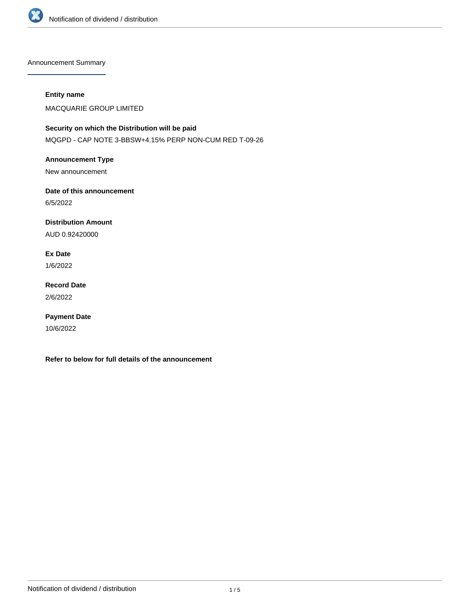

Announcement Summary

### **Entity name**

MACQUARIE GROUP LIMITED

# **Security on which the Distribution will be paid**

MQGPD - CAP NOTE 3-BBSW+4.15% PERP NON-CUM RED T-09-26

## **Announcement Type**

New announcement

## **Date of this announcement**

6/5/2022

## **Distribution Amount**

AUD 0.92420000

## **Ex Date**

1/6/2022

## **Record Date** 2/6/2022

# **Payment Date**

10/6/2022

**Refer to below for full details of the announcement**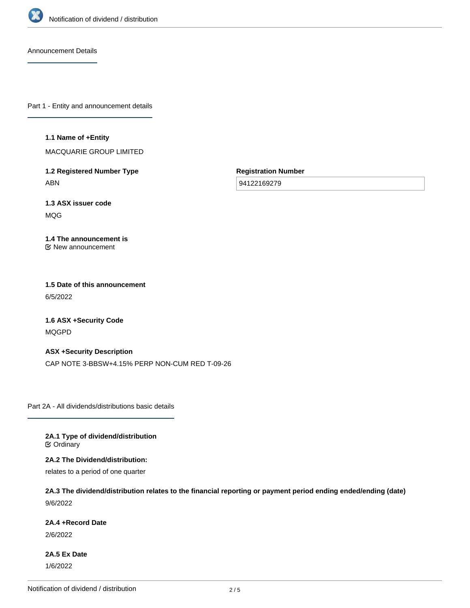

Announcement Details

Part 1 - Entity and announcement details

#### **1.1 Name of +Entity**

MACQUARIE GROUP LIMITED

**1.2 Registered Number Type** ABN

**Registration Number**

94122169279

**1.3 ASX issuer code** MQG

#### **1.4 The announcement is** New announcement

## **1.5 Date of this announcement** 6/5/2022

**1.6 ASX +Security Code** MQGPD

**ASX +Security Description** CAP NOTE 3-BBSW+4.15% PERP NON-CUM RED T-09-26

Part 2A - All dividends/distributions basic details

**2A.1 Type of dividend/distribution C** Ordinary

**2A.2 The Dividend/distribution:**

relates to a period of one quarter

**2A.3 The dividend/distribution relates to the financial reporting or payment period ending ended/ending (date)** 9/6/2022

#### **2A.4 +Record Date**

2/6/2022

**2A.5 Ex Date** 1/6/2022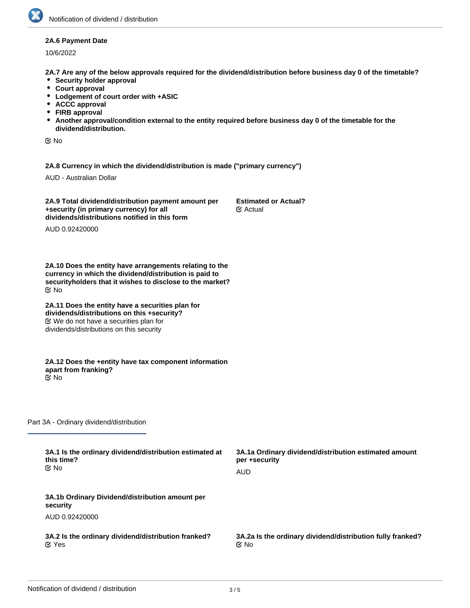#### **2A.6 Payment Date**

10/6/2022

**2A.7 Are any of the below approvals required for the dividend/distribution before business day 0 of the timetable?**

- **•** Security holder approval
- **Court approval**
- **Lodgement of court order with +ASIC**
- **ACCC approval**
- **FIRB approval**
- **Another approval/condition external to the entity required before business day 0 of the timetable for the dividend/distribution.**

No

**2A.8 Currency in which the dividend/distribution is made ("primary currency")**

AUD - Australian Dollar

**2A.9 Total dividend/distribution payment amount per +security (in primary currency) for all dividends/distributions notified in this form**

**Estimated or Actual?** Actual

AUD 0.92420000

**2A.10 Does the entity have arrangements relating to the currency in which the dividend/distribution is paid to securityholders that it wishes to disclose to the market?** No

**2A.11 Does the entity have a securities plan for dividends/distributions on this +security?** We do not have a securities plan for dividends/distributions on this security

**2A.12 Does the +entity have tax component information apart from franking?** No

Part 3A - Ordinary dividend/distribution

| 3A.1 Is the ordinary dividend/distribution estimated at<br>this time?<br>tiX No | 3A.1a Ordinary dividend/distribution estimated amount<br>per +security |
|---------------------------------------------------------------------------------|------------------------------------------------------------------------|
|                                                                                 | AUD                                                                    |
| 3A.1b Ordinary Dividend/distribution amount per<br>security                     |                                                                        |
| AUD 0.92420000                                                                  |                                                                        |
| 3A.2 Is the ordinary dividend/distribution franked?<br>$\alpha$ Yes             | 3A.2a Is the ordinary dividend/distribution fully franked?<br>় No     |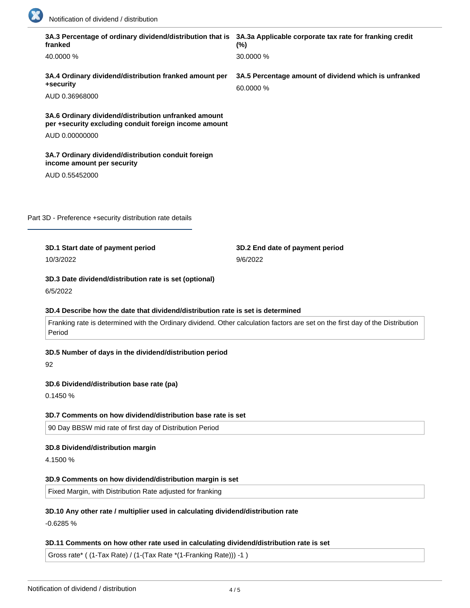

| franked                                                                                                                 | 3A.3 Percentage of ordinary dividend/distribution that is 3A.3a Applicable corporate tax rate for franking credit<br>$(\%)$    |
|-------------------------------------------------------------------------------------------------------------------------|--------------------------------------------------------------------------------------------------------------------------------|
| 40.0000 %                                                                                                               | 30.0000 %                                                                                                                      |
| 3A.4 Ordinary dividend/distribution franked amount per<br>+security<br>AUD 0.36968000                                   | 3A.5 Percentage amount of dividend which is unfranked<br>60.0000 %                                                             |
| 3A.6 Ordinary dividend/distribution unfranked amount<br>per +security excluding conduit foreign income amount           |                                                                                                                                |
| AUD 0.00000000                                                                                                          |                                                                                                                                |
| 3A.7 Ordinary dividend/distribution conduit foreign<br>income amount per security                                       |                                                                                                                                |
| AUD 0.55452000                                                                                                          |                                                                                                                                |
|                                                                                                                         |                                                                                                                                |
| Part 3D - Preference +security distribution rate details                                                                |                                                                                                                                |
|                                                                                                                         |                                                                                                                                |
| 3D.1 Start date of payment period                                                                                       | 3D.2 End date of payment period                                                                                                |
| 10/3/2022<br>3D.3 Date dividend/distribution rate is set (optional)                                                     | 9/6/2022                                                                                                                       |
| 6/5/2022<br>3D.4 Describe how the date that dividend/distribution rate is set is determined                             |                                                                                                                                |
| Period                                                                                                                  | Franking rate is determined with the Ordinary dividend. Other calculation factors are set on the first day of the Distribution |
| 3D.5 Number of days in the dividend/distribution period<br>92                                                           |                                                                                                                                |
| 3D.6 Dividend/distribution base rate (pa)                                                                               |                                                                                                                                |
| 0.1450 %                                                                                                                |                                                                                                                                |
|                                                                                                                         |                                                                                                                                |
| 3D.7 Comments on how dividend/distribution base rate is set<br>90 Day BBSW mid rate of first day of Distribution Period |                                                                                                                                |
|                                                                                                                         |                                                                                                                                |
| 3D.8 Dividend/distribution margin<br>4.1500 %                                                                           |                                                                                                                                |
| 3D.9 Comments on how dividend/distribution margin is set                                                                |                                                                                                                                |

## **3D.11 Comments on how other rate used in calculating dividend/distribution rate is set**

Gross rate\* ( (1-Tax Rate) / (1-(Tax Rate \*(1-Franking Rate))) -1 )

**3D.12 Total dividend/distribution rate for the period (pa)**